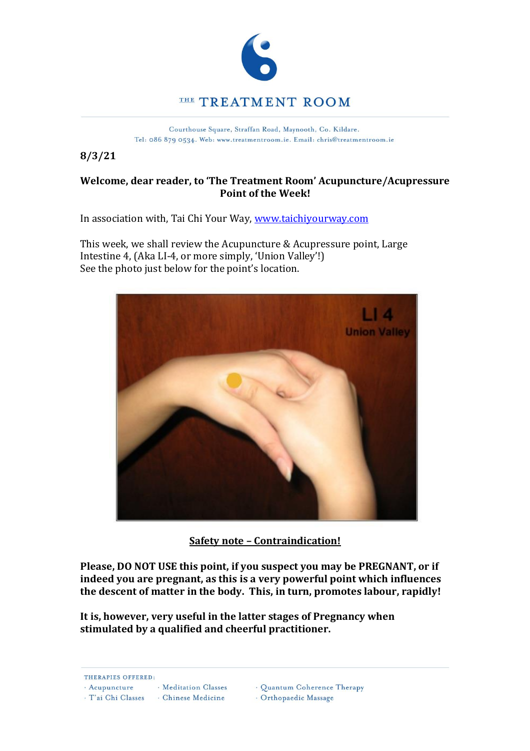

Courthouse Square, Straffan Road, Maynooth, Co. Kildare. Tel: 086 879 0534. Web: www.treatmentroom.ie. Email: chris@treatmentroom.ie

**8/3/21**

## **Welcome, dear reader, to 'The Treatment Room' Acupuncture/Acupressure Point of the Week!**

In association with, Tai Chi Your Way, www.taichiyourway.com

This week, we shall review the Acupuncture & Acupressure point, Large Intestine 4, (Aka LI-4, or more simply, 'Union Valley'!) See the photo just below for the point's location.



**Safety note – Contraindication!**

**Please, DO NOT USE this point, if you suspect you may be PREGNANT, or if indeed you are pregnant, as this is a very powerful point which influences the descent of matter in the body. This, in turn, promotes labour, rapidly!** 

**It is, however, very useful in the latter stages of Pregnancy when stimulated by a qualified and cheerful practitioner.**

THERAPIES OFFERED:

· Acupuncture · Meditation Classes

· T'ai Chi Classes · Chinese Medicine

· Quantum Coherence Therapy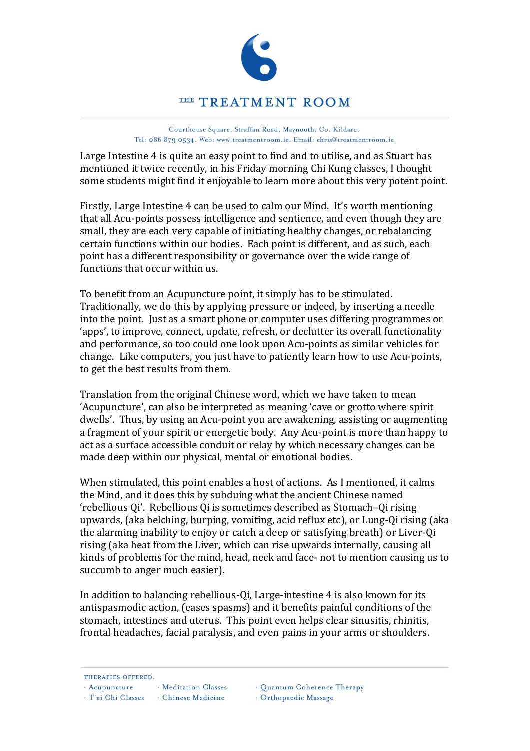

## THE TREATMENT ROOM

Courthouse Square, Straffan Road, Maynooth, Co. Kildare. Tel: 086 879 0534. Web: www.treatmentroom.ie. Email: chris@treatmentroom.ie

Large Intestine 4 is quite an easy point to find and to utilise, and as Stuart has mentioned it twice recently, in his Friday morning Chi Kung classes, I thought some students might find it enjoyable to learn more about this very potent point.

Firstly, Large Intestine 4 can be used to calm our Mind. It's worth mentioning that all Acu-points possess intelligence and sentience, and even though they are small, they are each very capable of initiating healthy changes, or rebalancing certain functions within our bodies. Each point is different, and as such, each point has a different responsibility or governance over the wide range of functions that occur within us.

To benefit from an Acupuncture point, it simply has to be stimulated. Traditionally, we do this by applying pressure or indeed, by inserting a needle into the point. Just as a smart phone or computer uses differing programmes or 'apps', to improve, connect, update, refresh, or declutter its overall functionality and performance, so too could one look upon Acu-points as similar vehicles for change. Like computers, you just have to patiently learn how to use Acu-points, to get the best results from them.

Translation from the original Chinese word, which we have taken to mean 'Acupuncture', can also be interpreted as meaning 'cave or grotto where spirit dwells'. Thus, by using an Acu-point you are awakening, assisting or augmenting a fragment of your spirit or energetic body. Any Acu-point is more than happy to act as a surface accessible conduit or relay by which necessary changes can be made deep within our physical, mental or emotional bodies.

When stimulated, this point enables a host of actions. As I mentioned, it calms the Mind, and it does this by subduing what the ancient Chinese named 'rebellious Qi'. Rebellious Qi is sometimes described as Stomach–Qi rising upwards, (aka belching, burping, vomiting, acid reflux etc), or Lung-Qi rising (aka the alarming inability to enjoy or catch a deep or satisfying breath) or Liver-Qi rising (aka heat from the Liver, which can rise upwards internally, causing all kinds of problems for the mind, head, neck and face- not to mention causing us to succumb to anger much easier).

In addition to balancing rebellious-Qi, Large-intestine 4 is also known for its antispasmodic action, (eases spasms) and it benefits painful conditions of the stomach, intestines and uterus. This point even helps clear sinusitis, rhinitis, frontal headaches, facial paralysis, and even pains in your arms or shoulders.

THERAPIES OFFERED:

· Acupuncture · Meditation Classes

- · T'ai Chi Classes · Chinese Medicine
- · Quantum Coherence Therapy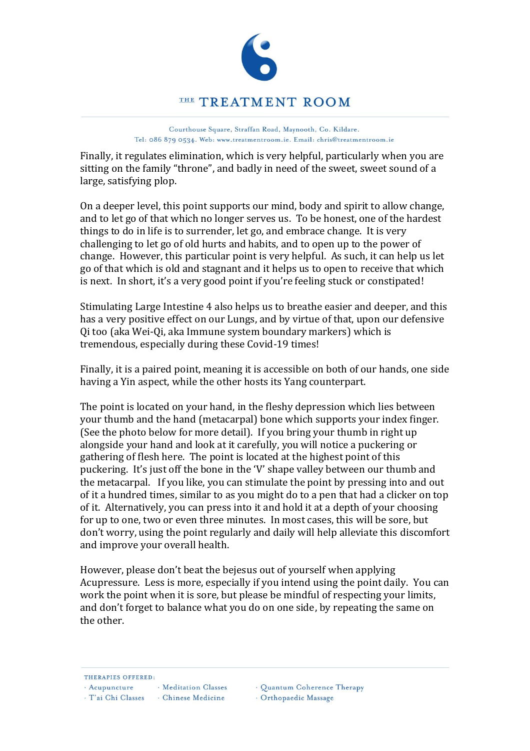

Courthouse Square, Straffan Road, Maynooth, Co. Kildare.

Tel: 086 879 0534. Web: www.treatmentroom.ie. Email: chris@treatmentroom.ie

Finally, it regulates elimination, which is very helpful, particularly when you are sitting on the family "throne", and badly in need of the sweet, sweet sound of a large, satisfying plop.

On a deeper level, this point supports our mind, body and spirit to allow change, and to let go of that which no longer serves us. To be honest, one of the hardest things to do in life is to surrender, let go, and embrace change. It is very challenging to let go of old hurts and habits, and to open up to the power of change. However, this particular point is very helpful. As such, it can help us let go of that which is old and stagnant and it helps us to open to receive that which is next. In short, it's a very good point if you're feeling stuck or constipated!

Stimulating Large Intestine 4 also helps us to breathe easier and deeper, and this has a very positive effect on our Lungs, and by virtue of that, upon our defensive Qi too (aka Wei-Qi, aka Immune system boundary markers) which is tremendous, especially during these Covid-19 times!

Finally, it is a paired point, meaning it is accessible on both of our hands, one side having a Yin aspect, while the other hosts its Yang counterpart.

The point is located on your hand, in the fleshy depression which lies between your thumb and the hand (metacarpal) bone which supports your index finger. (See the photo below for more detail). If you bring your thumb in right up alongside your hand and look at it carefully, you will notice a puckering or gathering of flesh here. The point is located at the highest point of this puckering. It's just off the bone in the 'V' shape valley between our thumb and the metacarpal. If you like, you can stimulate the point by pressing into and out of it a hundred times, similar to as you might do to a pen that had a clicker on top of it. Alternatively, you can press into it and hold it at a depth of your choosing for up to one, two or even three minutes. In most cases, this will be sore, but don't worry, using the point regularly and daily will help alleviate this discomfort and improve your overall health.

However, please don't beat the bejesus out of yourself when applying Acupressure. Less is more, especially if you intend using the point daily. You can work the point when it is sore, but please be mindful of respecting your limits, and don't forget to balance what you do on one side, by repeating the same on the other.

THERAPIES OFFERED:

· Acupuncture · Meditation Classes

· T'ai Chi Classes · Chinese Medicine

· Quantum Coherence Therapy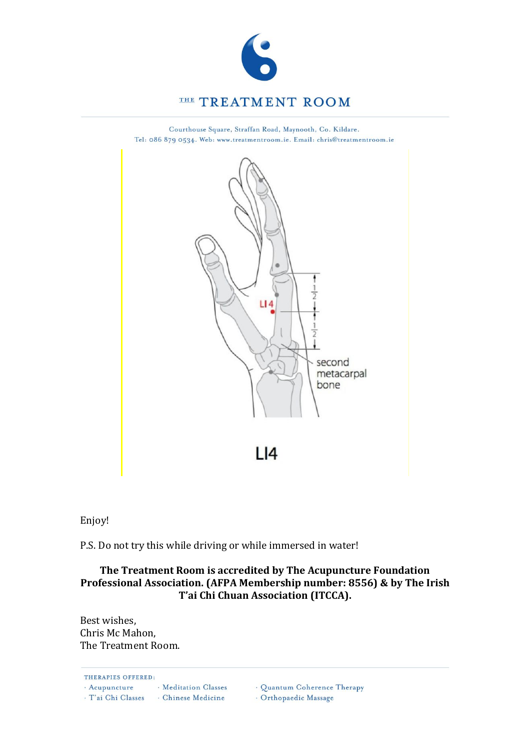

Courthouse Square, Straffan Road, Maynooth, Co. Kildare. Tel: 086 879 0534. Web: www.treatmentroom.ie. Email: chris@treatmentroom.ie



Enjoy!

P.S. Do not try this while driving or while immersed in water!

## **The Treatment Room is accredited by The Acupuncture Foundation Professional Association. (AFPA Membership number: 8556) & by The Irish T'ai Chi Chuan Association (ITCCA).**

Best wishes, Chris Mc Mahon, The Treatment Room.

THERAPIES OFFERED: · Meditation Classes · Acupuncture  $\cdot$ T'ai Chi Classes  $\hphantom{a}$  <br/> - Chinese Medicine

· Quantum Coherence Therapy